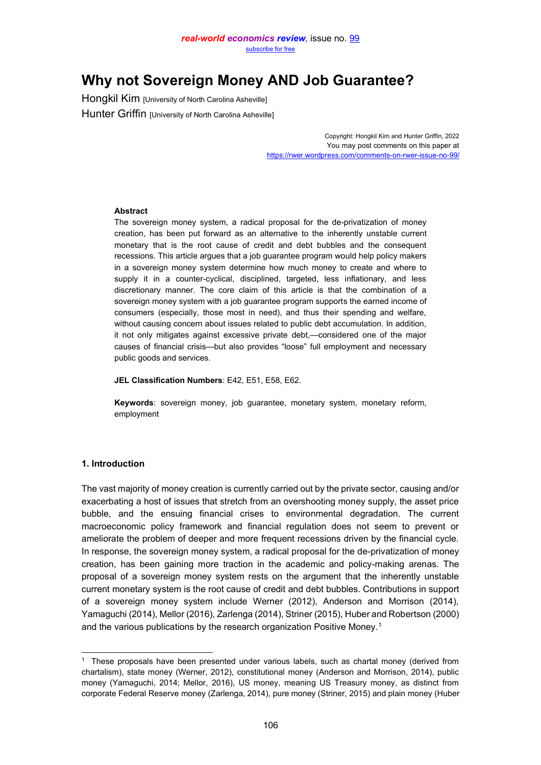# **Why not Sovereign Money AND Job Guarantee?**

Hongkil Kim [University of North Carolina Asheville] Hunter Griffin [University of North Carolina Asheville]

> Copyright: Hongkil Kim and Hunter Griffin, 2022 You may post comments on this paper at <https://rwer.wordpress.com/comments-on-rwer-issue-no-99/>

#### **Abstract**

The sovereign money system, a radical proposal for the de-privatization of money creation, has been put forward as an alternative to the inherently unstable current monetary that is the root cause of credit and debt bubbles and the consequent recessions. This article argues that a job guarantee program would help policy makers in a sovereign money system determine how much money to create and where to supply it in a counter-cyclical, disciplined, targeted, less inflationary, and less discretionary manner. The core claim of this article is that the combination of a sovereign money system with a job guarantee program supports the earned income of consumers (especially, those most in need), and thus their spending and welfare, without causing concern about issues related to public debt accumulation. In addition, it not only mitigates against excessive private debt,—considered one of the major causes of financial crisis—but also provides "loose" full employment and necessary public goods and services.

**JEL Classification Numbers**: E42, E51, E58, E62.

**Keywords**: sovereign money, job guarantee, monetary system, monetary reform, employment

## **1. Introduction**

The vast majority of money creation is currently carried out by the private sector, causing and/or exacerbating a host of issues that stretch from an overshooting money supply, the asset price bubble, and the ensuing financial crises to environmental degradation. The current macroeconomic policy framework and financial regulation does not seem to prevent or ameliorate the problem of deeper and more frequent recessions driven by the financial cycle. In response, the sovereign money system, a radical proposal for the de-privatization of money creation, has been gaining more traction in the academic and policy-making arenas. The proposal of a sovereign money system rests on the argument that the inherently unstable current monetary system is the root cause of credit and debt bubbles. Contributions in support of a sovereign money system include Werner (2012), Anderson and Morrison (2014), Yamaguchi (2014), Mellor (2016), Zarlenga (2014), Striner (2015), Huber and Robertson (2000) and the various publications by the research organization Positive Money.<sup>1</sup>

<sup>1</sup> These proposals have been presented under various labels, such as chartal money (derived from chartalism), state money (Werner, 2012), constitutional money (Anderson and Morrison, 2014), public money (Yamaguchi, 2014; Mellor, 2016), US money, meaning US Treasury money, as distinct from corporate Federal Reserve money (Zarlenga, 2014), pure money (Striner, 2015) and plain money (Huber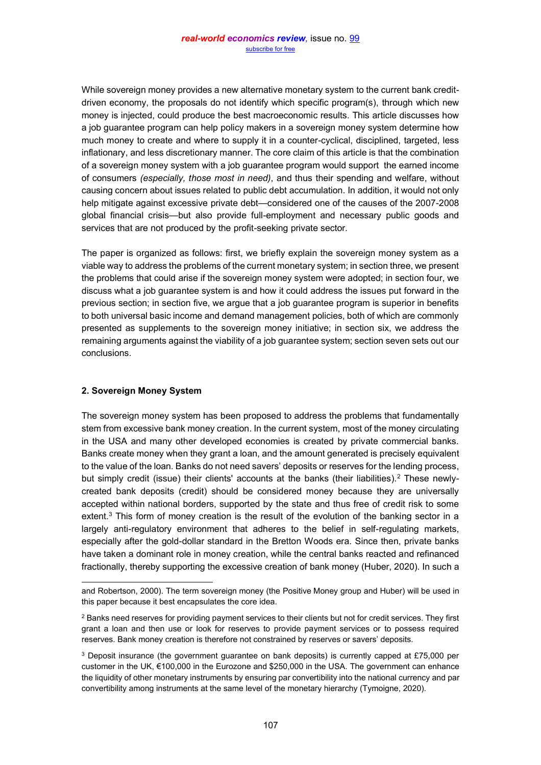While sovereign money provides a new alternative monetary system to the current bank creditdriven economy, the proposals do not identify which specific program(s), through which new money is injected, could produce the best macroeconomic results. This article discusses how a job guarantee program can help policy makers in a sovereign money system determine how much money to create and where to supply it in a counter-cyclical, disciplined, targeted, less inflationary, and less discretionary manner. The core claim of this article is that the combination of a sovereign money system with a job guarantee program would support the earned income of consumers *(especially, those most in need)*, and thus their spending and welfare, without causing concern about issues related to public debt accumulation. In addition, it would not only help mitigate against excessive private debt—considered one of the causes of the 2007-2008 global financial crisis—but also provide full-employment and necessary public goods and services that are not produced by the profit-seeking private sector.

The paper is organized as follows: first, we briefly explain the sovereign money system as a viable way to address the problems of the current monetary system; in section three, we present the problems that could arise if the sovereign money system were adopted; in section four, we discuss what a job guarantee system is and how it could address the issues put forward in the previous section; in section five, we argue that a job guarantee program is superior in benefits to both universal basic income and demand management policies, both of which are commonly presented as supplements to the sovereign money initiative; in section six, we address the remaining arguments against the viability of a job guarantee system; section seven sets out our conclusions.

## **2. Sovereign Money System**

The sovereign money system has been proposed to address the problems that fundamentally stem from excessive bank money creation. In the current system, most of the money circulating in the USA and many other developed economies is created by private commercial banks. Banks create money when they grant a loan, and the amount generated is precisely equivalent to the value of the loan. Banks do not need savers' deposits or reserves for the lending process, but simply credit (issue) their clients' accounts at the banks (their liabilities).<sup>2</sup> These newlycreated bank deposits (credit) should be considered money because they are universally accepted within national borders, supported by the state and thus free of credit risk to some extent.<sup>3</sup> This form of money creation is the result of the evolution of the banking sector in a largely anti-regulatory environment that adheres to the belief in self-regulating markets, especially after the gold-dollar standard in the Bretton Woods era. Since then, private banks have taken a dominant role in money creation, while the central banks reacted and refinanced fractionally, thereby supporting the excessive creation of bank money (Huber, 2020). In such a

and Robertson, 2000). The term sovereign money (the Positive Money group and Huber) will be used in this paper because it best encapsulates the core idea.

<sup>&</sup>lt;sup>2</sup> Banks need reserves for providing payment services to their clients but not for credit services. They first grant a loan and then use or look for reserves to provide payment services or to possess required reserves. Bank money creation is therefore not constrained by reserves or savers' deposits.

<sup>3</sup> Deposit insurance (the government guarantee on bank deposits) is currently capped at £75,000 per customer in the UK,  $€100,000$  in the Eurozone and \$250,000 in the USA. The government can enhance the liquidity of other monetary instruments by ensuring par convertibility into the national currency and par convertibility among instruments at the same level of the monetary hierarchy (Tymoigne, 2020).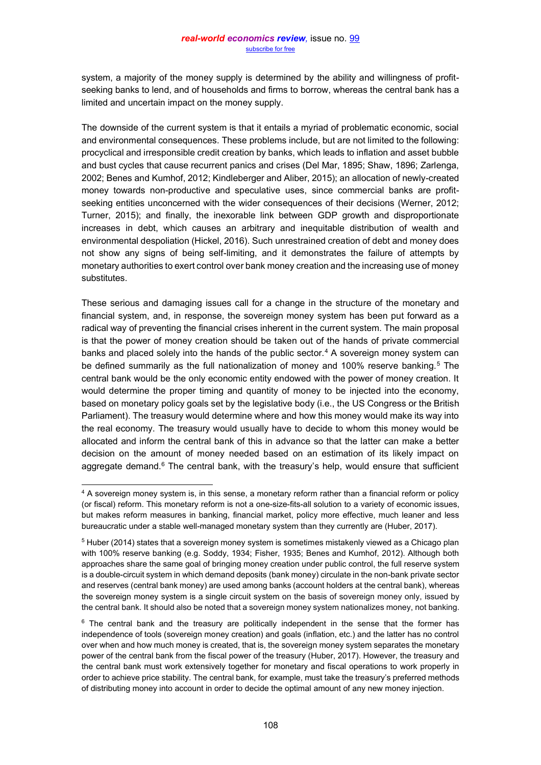system, a majority of the money supply is determined by the ability and willingness of profitseeking banks to lend, and of households and firms to borrow, whereas the central bank has a limited and uncertain impact on the money supply.

The downside of the current system is that it entails a myriad of problematic economic, social and environmental consequences. These problems include, but are not limited to the following: procyclical and irresponsible credit creation by banks, which leads to inflation and asset bubble and bust cycles that cause recurrent panics and crises (Del Mar, 1895; Shaw, 1896; Zarlenga, 2002; Benes and Kumhof, 2012; Kindleberger and Aliber, 2015); an allocation of newly-created money towards non-productive and speculative uses, since commercial banks are profitseeking entities unconcerned with the wider consequences of their decisions (Werner, 2012; Turner, 2015); and finally, the inexorable link between GDP growth and disproportionate increases in debt, which causes an arbitrary and inequitable distribution of wealth and environmental despoliation (Hickel, 2016). Such unrestrained creation of debt and money does not show any signs of being self-limiting, and it demonstrates the failure of attempts by monetary authorities to exert control over bank money creation and the increasing use of money substitutes.

These serious and damaging issues call for a change in the structure of the monetary and financial system, and, in response, the sovereign money system has been put forward as a radical way of preventing the financial crises inherent in the current system. The main proposal is that the power of money creation should be taken out of the hands of private commercial banks and placed solely into the hands of the public sector.<sup>4</sup> A sovereign money system can be defined summarily as the full nationalization of money and 100% reserve banking.<sup>5</sup> The central bank would be the only economic entity endowed with the power of money creation. It would determine the proper timing and quantity of money to be injected into the economy, based on monetary policy goals set by the legislative body (i.e., the US Congress or the British Parliament). The treasury would determine where and how this money would make its way into the real economy. The treasury would usually have to decide to whom this money would be allocated and inform the central bank of this in advance so that the latter can make a better decision on the amount of money needed based on an estimation of its likely impact on aggregate demand. $6$  The central bank, with the treasury's help, would ensure that sufficient

<sup>4</sup> A sovereign money system is, in this sense, a monetary reform rather than a financial reform or policy (or fiscal) reform. This monetary reform is not a one-size-fits-all solution to a variety of economic issues, but makes reform measures in banking, financial market, policy more effective, much leaner and less bureaucratic under a stable well-managed monetary system than they currently are (Huber, 2017).

<sup>5</sup> Huber (2014) states that a sovereign money system is sometimes mistakenly viewed as a Chicago plan with 100% reserve banking (e.g. Soddy, 1934; Fisher, 1935; Benes and Kumhof, 2012). Although both approaches share the same goal of bringing money creation under public control, the full reserve system is a double-circuit system in which demand deposits (bank money) circulate in the non-bank private sector and reserves (central bank money) are used among banks (account holders at the central bank), whereas the sovereign money system is a single circuit system on the basis of sovereign money only, issued by the central bank. It should also be noted that a sovereign money system nationalizes money, not banking.

 $6$  The central bank and the treasury are politically independent in the sense that the former has independence of tools (sovereign money creation) and goals (inflation, etc.) and the latter has no control over when and how much money is created, that is, the sovereign money system separates the monetary power of the central bank from the fiscal power of the treasury (Huber, 2017). However, the treasury and the central bank must work extensively together for monetary and fiscal operations to work properly in order to achieve price stability. The central bank, for example, must take the treasury's preferred methods of distributing money into account in order to decide the optimal amount of any new money injection.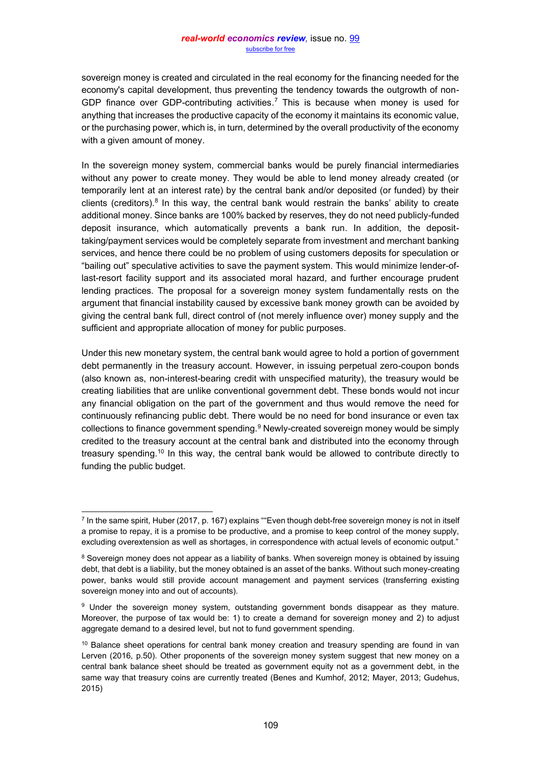sovereign money is created and circulated in the real economy for the financing needed for the economy's capital development, thus preventing the tendency towards the outgrowth of non-GDP finance over GDP-contributing activities.<sup>7</sup> This is because when money is used for anything that increases the productive capacity of the economy it maintains its economic value, or the purchasing power, which is, in turn, determined by the overall productivity of the economy with a given amount of money.

In the sovereign money system, commercial banks would be purely financial intermediaries without any power to create money. They would be able to lend money already created (or temporarily lent at an interest rate) by the central bank and/or deposited (or funded) by their clients (creditors).<sup>8</sup> In this way, the central bank would restrain the banks' ability to create additional money. Since banks are 100% backed by reserves, they do not need publicly-funded deposit insurance, which automatically prevents a bank run. In addition, the deposittaking/payment services would be completely separate from investment and merchant banking services, and hence there could be no problem of using customers deposits for speculation or "bailing out" speculative activities to save the payment system. This would minimize lender-oflast-resort facility support and its associated moral hazard, and further encourage prudent lending practices. The proposal for a sovereign money system fundamentally rests on the argument that financial instability caused by excessive bank money growth can be avoided by giving the central bank full, direct control of (not merely influence over) money supply and the sufficient and appropriate allocation of money for public purposes.

Under this new monetary system, the central bank would agree to hold a portion of government debt permanently in the treasury account. However, in issuing perpetual zero-coupon bonds (also known as, non-interest-bearing credit with unspecified maturity), the treasury would be creating liabilities that are unlike conventional government debt. These bonds would not incur any financial obligation on the part of the government and thus would remove the need for continuously refinancing public debt. There would be no need for bond insurance or even tax collections to finance government spending.<sup>9</sup> Newly-created sovereign money would be simply credited to the treasury account at the central bank and distributed into the economy through treasury spending.10 In this way, the central bank would be allowed to contribute directly to funding the public budget.

 $\frac{7}{1}$  In the same spirit, Huber (2017, p. 167) explains "Even though debt-free sovereign money is not in itself a promise to repay, it is a promise to be productive, and a promise to keep control of the money supply, excluding overextension as well as shortages, in correspondence with actual levels of economic output."

<sup>&</sup>lt;sup>8</sup> Sovereign money does not appear as a liability of banks. When sovereign money is obtained by issuing debt, that debt is a liability, but the money obtained is an asset of the banks. Without such money-creating power, banks would still provide account management and payment services (transferring existing sovereign money into and out of accounts).

<sup>&</sup>lt;sup>9</sup> Under the sovereign money system, outstanding government bonds disappear as they mature. Moreover, the purpose of tax would be: 1) to create a demand for sovereign money and 2) to adjust aggregate demand to a desired level, but not to fund government spending.

<sup>&</sup>lt;sup>10</sup> Balance sheet operations for central bank money creation and treasury spending are found in van Lerven (2016, p.50). Other proponents of the sovereign money system suggest that new money on a central bank balance sheet should be treated as government equity not as a government debt, in the same way that treasury coins are currently treated (Benes and Kumhof, 2012; Mayer, 2013; Gudehus, 2015)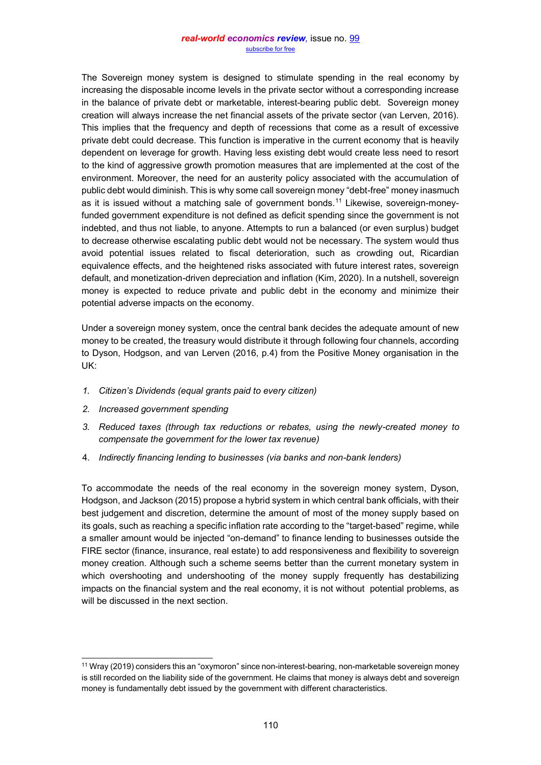The Sovereign money system is designed to stimulate spending in the real economy by increasing the disposable income levels in the private sector without a corresponding increase in the balance of private debt or marketable, interest-bearing public debt. Sovereign money creation will always increase the net financial assets of the private sector (van Lerven, 2016). This implies that the frequency and depth of recessions that come as a result of excessive private debt could decrease. This function is imperative in the current economy that is heavily dependent on leverage for growth. Having less existing debt would create less need to resort to the kind of aggressive growth promotion measures that are implemented at the cost of the environment. Moreover, the need for an austerity policy associated with the accumulation of public debt would diminish. This is why some call sovereign money "debt-free" money inasmuch as it is issued without a matching sale of government bonds.11 Likewise, sovereign-moneyfunded government expenditure is not defined as deficit spending since the government is not indebted, and thus not liable, to anyone. Attempts to run a balanced (or even surplus) budget to decrease otherwise escalating public debt would not be necessary. The system would thus avoid potential issues related to fiscal deterioration, such as crowding out, Ricardian equivalence effects, and the heightened risks associated with future interest rates, sovereign default, and monetization-driven depreciation and inflation (Kim, 2020). In a nutshell, sovereign money is expected to reduce private and public debt in the economy and minimize their potential adverse impacts on the economy.

Under a sovereign money system, once the central bank decides the adequate amount of new money to be created, the treasury would distribute it through following four channels, according to Dyson, Hodgson, and van Lerven (2016, p.4) from the Positive Money organisation in the UK:

- 1. Citizen's Dividends (equal grants paid to every citizen)
- *2. Increased government spending*
- *3. Reduced taxes (through tax reductions or rebates, using the newly-created money to compensate the government for the lower tax revenue)*
- 4. *Indirectly financing lending to businesses (via banks and non-bank lenders)*

To accommodate the needs of the real economy in the sovereign money system, Dyson, Hodgson, and Jackson (2015) propose a hybrid system in which central bank officials, with their best judgement and discretion, determine the amount of most of the money supply based on its goals, such as reaching a specific inflation rate according to the "target-based" regime, while a smaller amount would be injected "on-demand" to finance lending to businesses outside the FIRE sector (finance, insurance, real estate) to add responsiveness and flexibility to sovereign money creation. Although such a scheme seems better than the current monetary system in which overshooting and undershooting of the money supply frequently has destabilizing impacts on the financial system and the real economy, it is not without potential problems, as will be discussed in the next section.

 $11$  Wray (2019) considers this an "oxymoron" since non-interest-bearing, non-marketable sovereign money is still recorded on the liability side of the government. He claims that money is always debt and sovereign money is fundamentally debt issued by the government with different characteristics.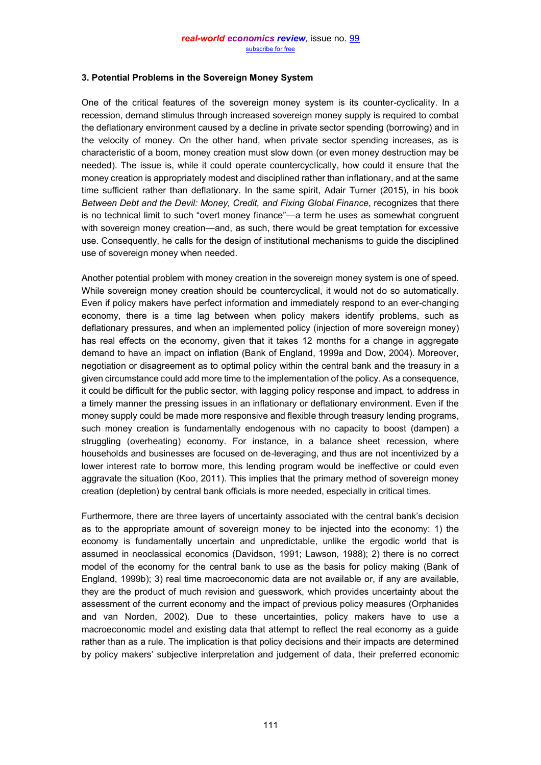## **3. Potential Problems in the Sovereign Money System**

One of the critical features of the sovereign money system is its counter-cyclicality. In a recession, demand stimulus through increased sovereign money supply is required to combat the deflationary environment caused by a decline in private sector spending (borrowing) and in the velocity of money. On the other hand, when private sector spending increases, as is characteristic of a boom, money creation must slow down (or even money destruction may be needed). The issue is, while it could operate countercyclically, how could it ensure that the money creation is appropriately modest and disciplined rather than inflationary, and at the same time sufficient rather than deflationary. In the same spirit, Adair Turner (2015), in his book *Between Debt and the Devil: Money, Credit, and Fixing Global Finance*, recognizes that there is no technical limit to such "overt money finance"—a term he uses as somewhat congruent with sovereign money creation—and, as such, there would be great temptation for excessive use. Consequently, he calls for the design of institutional mechanisms to guide the disciplined use of sovereign money when needed.

Another potential problem with money creation in the sovereign money system is one of speed. While sovereign money creation should be countercyclical, it would not do so automatically. Even if policy makers have perfect information and immediately respond to an ever-changing economy, there is a time lag between when policy makers identify problems, such as deflationary pressures, and when an implemented policy (injection of more sovereign money) has real effects on the economy, given that it takes 12 months for a change in aggregate demand to have an impact on inflation (Bank of England, 1999a and Dow, 2004). Moreover, negotiation or disagreement as to optimal policy within the central bank and the treasury in a given circumstance could add more time to the implementation of the policy. As a consequence, it could be difficult for the public sector, with lagging policy response and impact, to address in a timely manner the pressing issues in an inflationary or deflationary environment. Even if the money supply could be made more responsive and flexible through treasury lending programs, such money creation is fundamentally endogenous with no capacity to boost (dampen) a struggling (overheating) economy. For instance, in a balance sheet recession, where households and businesses are focused on de-leveraging, and thus are not incentivized by a lower interest rate to borrow more, this lending program would be ineffective or could even aggravate the situation (Koo, 2011). This implies that the primary method of sovereign money creation (depletion) by central bank officials is more needed, especially in critical times.

Furthermore, there are three layers of uncertainty associated with the central bank's decision as to the appropriate amount of sovereign money to be injected into the economy: 1) the economy is fundamentally uncertain and unpredictable, unlike the ergodic world that is assumed in neoclassical economics (Davidson, 1991; Lawson, 1988); 2) there is no correct model of the economy for the central bank to use as the basis for policy making (Bank of England, 1999b); 3) real time macroeconomic data are not available or, if any are available, they are the product of much revision and guesswork, which provides uncertainty about the assessment of the current economy and the impact of previous policy measures (Orphanides and van Norden, 2002). Due to these uncertainties, policy makers have to use a macroeconomic model and existing data that attempt to reflect the real economy as a guide rather than as a rule. The implication is that policy decisions and their impacts are determined by policy makers' subjective interpretation and judgement of data, their preferred economic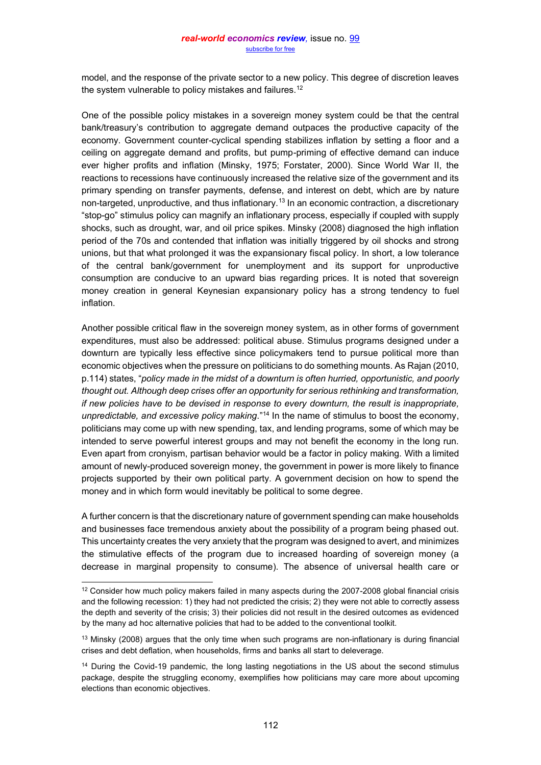model, and the response of the private sector to a new policy. This degree of discretion leaves the system vulnerable to policy mistakes and failures.<sup>12</sup>

One of the possible policy mistakes in a sovereign money system could be that the central bank/treasury's contribution to aggregate demand outpaces the productive capacity of the economy. Government counter-cyclical spending stabilizes inflation by setting a floor and a ceiling on aggregate demand and profits, but pump-priming of effective demand can induce ever higher profits and inflation (Minsky, 1975; Forstater, 2000). Since World War II, the reactions to recessions have continuously increased the relative size of the government and its primary spending on transfer payments, defense, and interest on debt, which are by nature non-targeted, unproductive, and thus inflationary.13 In an economic contraction, a discretionary "stop-go" stimulus policy can magnify an inflationary process, especially if coupled with supply shocks, such as drought, war, and oil price spikes. Minsky (2008) diagnosed the high inflation period of the 70s and contended that inflation was initially triggered by oil shocks and strong unions, but that what prolonged it was the expansionary fiscal policy. In short, a low tolerance of the central bank/government for unemployment and its support for unproductive consumption are conducive to an upward bias regarding prices. It is noted that sovereign money creation in general Keynesian expansionary policy has a strong tendency to fuel inflation.

Another possible critical flaw in the sovereign money system, as in other forms of government expenditures, must also be addressed: political abuse. Stimulus programs designed under a downturn are typically less effective since policymakers tend to pursue political more than economic objectives when the pressure on politicians to do something mounts. As Rajan (2010, p.114) states, "policy made in the midst of a downturn is often hurried, opportunistic, and poorly *thought out. Although deep crises offer an opportunity for serious rethinking and transformation, if new policies have to be devised in response to every downturn, the result is inappropriate, unpredictable, and excessive policy making*.<sup>"14</sup> In the name of stimulus to boost the economy, politicians may come up with new spending, tax, and lending programs, some of which may be intended to serve powerful interest groups and may not benefit the economy in the long run. Even apart from cronyism, partisan behavior would be a factor in policy making. With a limited amount of newly-produced sovereign money, the government in power is more likely to finance projects supported by their own political party. A government decision on how to spend the money and in which form would inevitably be political to some degree.

A further concern is that the discretionary nature of government spending can make households and businesses face tremendous anxiety about the possibility of a program being phased out. This uncertainty creates the very anxiety that the program was designed to avert, and minimizes the stimulative effects of the program due to increased hoarding of sovereign money (a decrease in marginal propensity to consume). The absence of universal health care or

<sup>&</sup>lt;sup>12</sup> Consider how much policy makers failed in many aspects during the 2007-2008 global financial crisis and the following recession: 1) they had not predicted the crisis; 2) they were not able to correctly assess the depth and severity of the crisis; 3) their policies did not result in the desired outcomes as evidenced by the many ad hoc alternative policies that had to be added to the conventional toolkit.

<sup>&</sup>lt;sup>13</sup> Minsky (2008) argues that the only time when such programs are non-inflationary is during financial crises and debt deflation, when households, firms and banks all start to deleverage.

<sup>&</sup>lt;sup>14</sup> During the Covid-19 pandemic, the long lasting negotiations in the US about the second stimulus package, despite the struggling economy, exemplifies how politicians may care more about upcoming elections than economic objectives.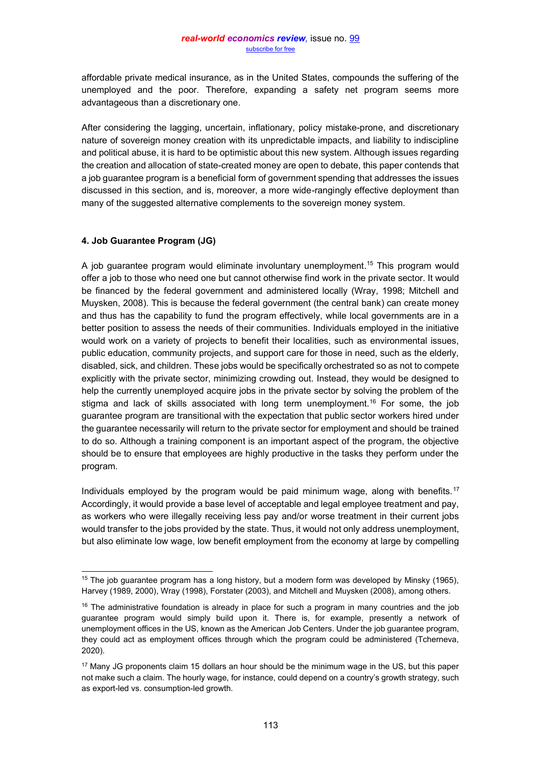affordable private medical insurance, as in the United States, compounds the suffering of the unemployed and the poor. Therefore, expanding a safety net program seems more advantageous than a discretionary one.

After considering the lagging, uncertain, inflationary, policy mistake-prone, and discretionary nature of sovereign money creation with its unpredictable impacts, and liability to indiscipline and political abuse, it is hard to be optimistic about this new system. Although issues regarding the creation and allocation of state-created money are open to debate, this paper contends that a job guarantee program is a beneficial form of government spending that addresses the issues discussed in this section, and is, moreover, a more wide-rangingly effective deployment than many of the suggested alternative complements to the sovereign money system.

## **4. Job Guarantee Program (JG)**

A job guarantee program would eliminate involuntary unemployment.<sup>15</sup> This program would offer a job to those who need one but cannot otherwise find work in the private sector. It would be financed by the federal government and administered locally (Wray, 1998; Mitchell and Muysken, 2008). This is because the federal government (the central bank) can create money and thus has the capability to fund the program effectively, while local governments are in a better position to assess the needs of their communities. Individuals employed in the initiative would work on a variety of projects to benefit their localities, such as environmental issues, public education, community projects, and support care for those in need, such as the elderly, disabled, sick, and children. These jobs would be specifically orchestrated so as not to compete explicitly with the private sector, minimizing crowding out. Instead, they would be designed to help the currently unemployed acquire jobs in the private sector by solving the problem of the stigma and lack of skills associated with long term unemployment.<sup>16</sup> For some, the job guarantee program are transitional with the expectation that public sector workers hired under the guarantee necessarily will return to the private sector for employment and should be trained to do so. Although a training component is an important aspect of the program, the objective should be to ensure that employees are highly productive in the tasks they perform under the program.

Individuals employed by the program would be paid minimum wage, along with benefits.17 Accordingly, it would provide a base level of acceptable and legal employee treatment and pay, as workers who were illegally receiving less pay and/or worse treatment in their current jobs would transfer to the jobs provided by the state. Thus, it would not only address unemployment, but also eliminate low wage, low benefit employment from the economy at large by compelling

<sup>&</sup>lt;sup>15</sup> The job guarantee program has a long history, but a modern form was developed by Minsky (1965), Harvey (1989, 2000), Wray (1998), Forstater (2003), and Mitchell and Muysken (2008), among others.

 $16$  The administrative foundation is already in place for such a program in many countries and the job guarantee program would simply build upon it. There is, for example, presently a network of unemployment offices in the US, known as the American Job Centers. Under the job guarantee program, they could act as employment offices through which the program could be administered (Tcherneva, 2020).

<sup>&</sup>lt;sup>17</sup> Many JG proponents claim 15 dollars an hour should be the minimum wage in the US, but this paper not make such a claim. The hourly wage, for instance, could depend on a country's growth strategy, such as export-led vs. consumption-led growth.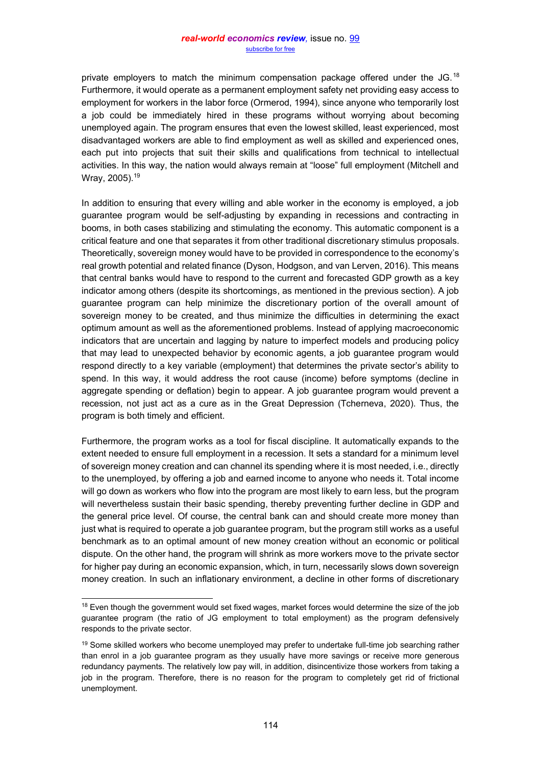private employers to match the minimum compensation package offered under the JG.<sup>18</sup> Furthermore, it would operate as a permanent employment safety net providing easy access to employment for workers in the labor force (Ormerod, 1994), since anyone who temporarily lost a job could be immediately hired in these programs without worrying about becoming unemployed again. The program ensures that even the lowest skilled, least experienced, most disadvantaged workers are able to find employment as well as skilled and experienced ones, each put into projects that suit their skills and qualifications from technical to intellectual activities. In this way, the nation would always remain at "loose" full employment (Mitchell and Wray, 2005).19

In addition to ensuring that every willing and able worker in the economy is employed, a job guarantee program would be self-adjusting by expanding in recessions and contracting in booms, in both cases stabilizing and stimulating the economy. This automatic component is a critical feature and one that separates it from other traditional discretionary stimulus proposals. Theoretically, sovereign money would have to be provided in correspondence to the economy's real growth potential and related finance (Dyson, Hodgson, and van Lerven, 2016). This means that central banks would have to respond to the current and forecasted GDP growth as a key indicator among others (despite its shortcomings, as mentioned in the previous section). A job guarantee program can help minimize the discretionary portion of the overall amount of sovereign money to be created, and thus minimize the difficulties in determining the exact optimum amount as well as the aforementioned problems. Instead of applying macroeconomic indicators that are uncertain and lagging by nature to imperfect models and producing policy that may lead to unexpected behavior by economic agents, a job guarantee program would respond directly to a key variable (employment) that determines the private sector's ability to spend. In this way, it would address the root cause (income) before symptoms (decline in aggregate spending or deflation) begin to appear. A job guarantee program would prevent a recession, not just act as a cure as in the Great Depression (Tcherneva, 2020). Thus, the program is both timely and efficient.

Furthermore, the program works as a tool for fiscal discipline. It automatically expands to the extent needed to ensure full employment in a recession. It sets a standard for a minimum level of sovereign money creation and can channel its spending where it is most needed, i.e., directly to the unemployed, by offering a job and earned income to anyone who needs it. Total income will go down as workers who flow into the program are most likely to earn less, but the program will nevertheless sustain their basic spending, thereby preventing further decline in GDP and the general price level. Of course, the central bank can and should create more money than just what is required to operate a job guarantee program, but the program still works as a useful benchmark as to an optimal amount of new money creation without an economic or political dispute. On the other hand, the program will shrink as more workers move to the private sector for higher pay during an economic expansion, which, in turn, necessarily slows down sovereign money creation. In such an inflationary environment, a decline in other forms of discretionary

<sup>&</sup>lt;sup>18</sup> Even though the government would set fixed wages, market forces would determine the size of the job guarantee program (the ratio of JG employment to total employment) as the program defensively responds to the private sector.

<sup>&</sup>lt;sup>19</sup> Some skilled workers who become unemployed may prefer to undertake full-time job searching rather than enrol in a job guarantee program as they usually have more savings or receive more generous redundancy payments. The relatively low pay will, in addition, disincentivize those workers from taking a job in the program. Therefore, there is no reason for the program to completely get rid of frictional unemployment.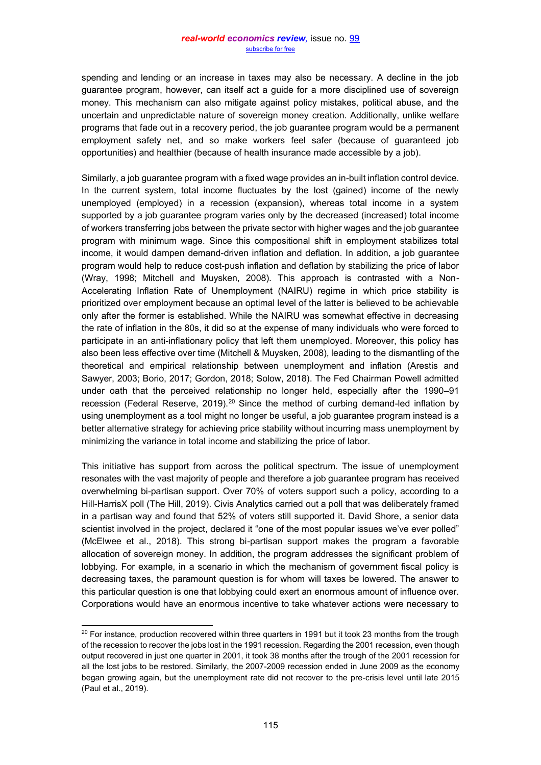spending and lending or an increase in taxes may also be necessary. A decline in the job guarantee program, however, can itself act a guide for a more disciplined use of sovereign money. This mechanism can also mitigate against policy mistakes, political abuse, and the uncertain and unpredictable nature of sovereign money creation. Additionally, unlike welfare programs that fade out in a recovery period, the job guarantee program would be a permanent employment safety net, and so make workers feel safer (because of guaranteed job opportunities) and healthier (because of health insurance made accessible by a job).

Similarly, a job guarantee program with a fixed wage provides an in-built inflation control device. In the current system, total income fluctuates by the lost (gained) income of the newly unemployed (employed) in a recession (expansion), whereas total income in a system supported by a job guarantee program varies only by the decreased (increased) total income of workers transferring jobs between the private sector with higher wages and the job guarantee program with minimum wage. Since this compositional shift in employment stabilizes total income, it would dampen demand-driven inflation and deflation. In addition, a job guarantee program would help to reduce cost-push inflation and deflation by stabilizing the price of labor (Wray, 1998; Mitchell and Muysken, 2008). This approach is contrasted with a Non-Accelerating Inflation Rate of Unemployment (NAIRU) regime in which price stability is prioritized over employment because an optimal level of the latter is believed to be achievable only after the former is established. While the NAIRU was somewhat effective in decreasing the rate of inflation in the 80s, it did so at the expense of many individuals who were forced to participate in an anti-inflationary policy that left them unemployed. Moreover, this policy has also been less effective over time (Mitchell & Muysken, 2008), leading to the dismantling of the theoretical and empirical relationship between unemployment and inflation (Arestis and Sawyer, 2003; Borio, 2017; Gordon, 2018; Solow, 2018). The Fed Chairman Powell admitted under oath that the perceived relationship no longer held, especially after the 1990-91 recession (Federal Reserve, 2019).<sup>20</sup> Since the method of curbing demand-led inflation by using unemployment as a tool might no longer be useful, a job guarantee program instead is a better alternative strategy for achieving price stability without incurring mass unemployment by minimizing the variance in total income and stabilizing the price of labor.

This initiative has support from across the political spectrum. The issue of unemployment resonates with the vast majority of people and therefore a job guarantee program has received overwhelming bi-partisan support. Over 70% of voters support such a policy, according to a Hill-HarrisX poll (The Hill, 2019). Civis Analytics carried out a poll that was deliberately framed in a partisan way and found that 52% of voters still supported it. David Shore, a senior data scientist involved in the project, declared it "one of the most popular issues we've ever polled" (McElwee et al., 2018). This strong bi-partisan support makes the program a favorable allocation of sovereign money. In addition, the program addresses the significant problem of lobbying. For example, in a scenario in which the mechanism of government fiscal policy is decreasing taxes, the paramount question is for whom will taxes be lowered. The answer to this particular question is one that lobbying could exert an enormous amount of influence over. Corporations would have an enormous incentive to take whatever actions were necessary to

 $20$  For instance, production recovered within three quarters in 1991 but it took 23 months from the trough of the recession to recover the jobs lost in the 1991 recession. Regarding the 2001 recession, even though output recovered in just one quarter in 2001, it took 38 months after the trough of the 2001 recession for all the lost jobs to be restored. Similarly, the 2007-2009 recession ended in June 2009 as the economy began growing again, but the unemployment rate did not recover to the pre-crisis level until late 2015 (Paul et al., 2019).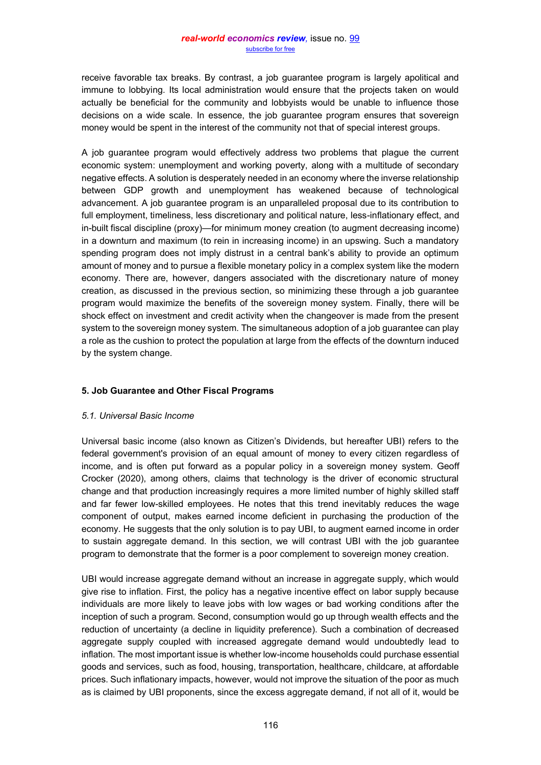receive favorable tax breaks. By contrast, a job guarantee program is largely apolitical and immune to lobbying. Its local administration would ensure that the projects taken on would actually be beneficial for the community and lobbyists would be unable to influence those decisions on a wide scale. In essence, the job guarantee program ensures that sovereign money would be spent in the interest of the community not that of special interest groups.

A job guarantee program would effectively address two problems that plague the current economic system: unemployment and working poverty, along with a multitude of secondary negative effects. A solution is desperately needed in an economy where the inverse relationship between GDP growth and unemployment has weakened because of technological advancement. A job guarantee program is an unparalleled proposal due to its contribution to full employment, timeliness, less discretionary and political nature, less-inflationary effect, and in-built fiscal discipline (proxy)—for minimum money creation (to augment decreasing income) in a downturn and maximum (to rein in increasing income) in an upswing. Such a mandatory spending program does not imply distrust in a central bank's ability to provide an optimum amount of money and to pursue a flexible monetary policy in a complex system like the modern economy. There are, however, dangers associated with the discretionary nature of money creation, as discussed in the previous section, so minimizing these through a job guarantee program would maximize the benefits of the sovereign money system. Finally, there will be shock effect on investment and credit activity when the changeover is made from the present system to the sovereign money system. The simultaneous adoption of a job guarantee can play a role as the cushion to protect the population at large from the effects of the downturn induced by the system change.

## **5. Job Guarantee and Other Fiscal Programs**

## *5.1. Universal Basic Income*

Universal basic income (also known as Citizen's Dividends, but hereafter UBI) refers to the federal government's provision of an equal amount of money to every citizen regardless of income, and is often put forward as a popular policy in a sovereign money system. Geoff Crocker (2020), among others, claims that technology is the driver of economic structural change and that production increasingly requires a more limited number of highly skilled staff and far fewer low-skilled employees. He notes that this trend inevitably reduces the wage component of output, makes earned income deficient in purchasing the production of the economy. He suggests that the only solution is to pay UBI, to augment earned income in order to sustain aggregate demand. In this section, we will contrast UBI with the job guarantee program to demonstrate that the former is a poor complement to sovereign money creation.

UBI would increase aggregate demand without an increase in aggregate supply, which would give rise to inflation. First, the policy has a negative incentive effect on labor supply because individuals are more likely to leave jobs with low wages or bad working conditions after the inception of such a program. Second, consumption would go up through wealth effects and the reduction of uncertainty (a decline in liquidity preference). Such a combination of decreased aggregate supply coupled with increased aggregate demand would undoubtedly lead to inflation. The most important issue is whether low-income households could purchase essential goods and services, such as food, housing, transportation, healthcare, childcare, at affordable prices. Such inflationary impacts, however, would not improve the situation of the poor as much as is claimed by UBI proponents, since the excess aggregate demand, if not all of it, would be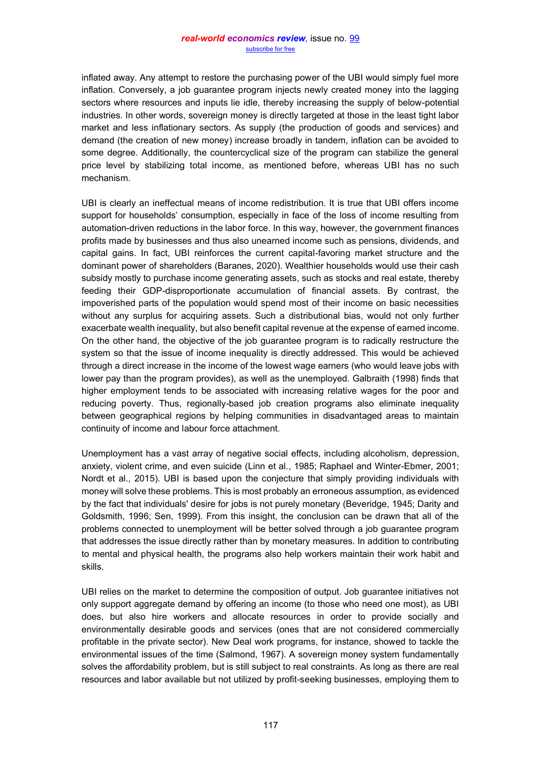inflated away. Any attempt to restore the purchasing power of the UBI would simply fuel more inflation. Conversely, a job guarantee program injects newly created money into the lagging sectors where resources and inputs lie idle, thereby increasing the supply of below-potential industries. In other words, sovereign money is directly targeted at those in the least tight labor market and less inflationary sectors. As supply (the production of goods and services) and demand (the creation of new money) increase broadly in tandem, inflation can be avoided to some degree. Additionally, the countercyclical size of the program can stabilize the general price level by stabilizing total income, as mentioned before, whereas UBI has no such mechanism.

UBI is clearly an ineffectual means of income redistribution. It is true that UBI offers income support for households' consumption, especially in face of the loss of income resulting from automation-driven reductions in the labor force. In this way, however, the government finances profits made by businesses and thus also unearned income such as pensions, dividends, and capital gains. In fact, UBI reinforces the current capital-favoring market structure and the dominant power of shareholders (Baranes, 2020). Wealthier households would use their cash subsidy mostly to purchase income generating assets, such as stocks and real estate, thereby feeding their GDP-disproportionate accumulation of financial assets. By contrast, the impoverished parts of the population would spend most of their income on basic necessities without any surplus for acquiring assets. Such a distributional bias, would not only further exacerbate wealth inequality, but also benefit capital revenue at the expense of earned income. On the other hand, the objective of the job guarantee program is to radically restructure the system so that the issue of income inequality is directly addressed. This would be achieved through a direct increase in the income of the lowest wage earners (who would leave jobs with lower pay than the program provides), as well as the unemployed. Galbraith (1998) finds that higher employment tends to be associated with increasing relative wages for the poor and reducing poverty. Thus, regionally-based job creation programs also eliminate inequality between geographical regions by helping communities in disadvantaged areas to maintain continuity of income and labour force attachment.

Unemployment has a vast array of negative social effects, including alcoholism, depression, anxiety, violent crime, and even suicide (Linn et al., 1985; Raphael and Winter-Ebmer, 2001; Nordt et al., 2015). UBI is based upon the conjecture that simply providing individuals with money will solve these problems. This is most probably an erroneous assumption, as evidenced by the fact that individuals' desire for jobs is not purely monetary (Beveridge, 1945; Darity and Goldsmith, 1996; Sen, 1999). From this insight, the conclusion can be drawn that all of the problems connected to unemployment will be better solved through a job guarantee program that addresses the issue directly rather than by monetary measures. In addition to contributing to mental and physical health, the programs also help workers maintain their work habit and skills.

UBI relies on the market to determine the composition of output. Job guarantee initiatives not only support aggregate demand by offering an income (to those who need one most), as UBI does, but also hire workers and allocate resources in order to provide socially and environmentally desirable goods and services (ones that are not considered commercially profitable in the private sector). New Deal work programs, for instance, showed to tackle the environmental issues of the time (Salmond, 1967). A sovereign money system fundamentally solves the affordability problem, but is still subject to real constraints. As long as there are real resources and labor available but not utilized by profit-seeking businesses, employing them to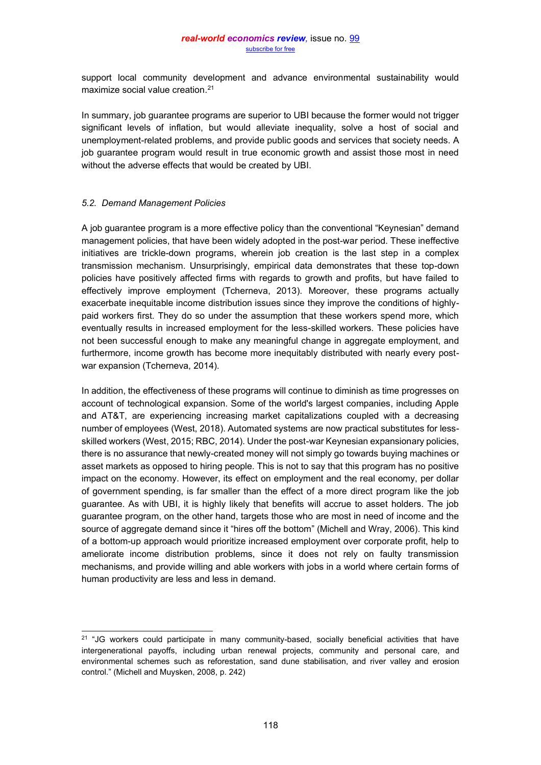support local community development and advance environmental sustainability would maximize social value creation.21

In summary, job guarantee programs are superior to UBI because the former would not trigger significant levels of inflation, but would alleviate inequality, solve a host of social and unemployment-related problems, and provide public goods and services that society needs. A job guarantee program would result in true economic growth and assist those most in need without the adverse effects that would be created by UBI.

#### *5.2. Demand Management Policies*

A job guarantee program is a more effective policy than the conventional "Keynesian" demand management policies, that have been widely adopted in the post-war period. These ineffective initiatives are trickle-down programs, wherein job creation is the last step in a complex transmission mechanism. Unsurprisingly, empirical data demonstrates that these top-down policies have positively affected firms with regards to growth and profits, but have failed to effectively improve employment (Tcherneva, 2013). Moreover, these programs actually exacerbate inequitable income distribution issues since they improve the conditions of highlypaid workers first. They do so under the assumption that these workers spend more, which eventually results in increased employment for the less-skilled workers. These policies have not been successful enough to make any meaningful change in aggregate employment, and furthermore, income growth has become more inequitably distributed with nearly every postwar expansion (Tcherneva, 2014).

In addition, the effectiveness of these programs will continue to diminish as time progresses on account of technological expansion. Some of the world's largest companies, including Apple and AT&T, are experiencing increasing market capitalizations coupled with a decreasing number of employees (West, 2018). Automated systems are now practical substitutes for lessskilled workers (West, 2015; RBC, 2014). Under the post-war Keynesian expansionary policies, there is no assurance that newly-created money will not simply go towards buying machines or asset markets as opposed to hiring people. This is not to say that this program has no positive impact on the economy. However, its effect on employment and the real economy, per dollar of government spending, is far smaller than the effect of a more direct program like the job guarantee. As with UBI, it is highly likely that benefits will accrue to asset holders. The job guarantee program, on the other hand, targets those who are most in need of income and the source of aggregate demand since it "hires off the bottom" (Michell and Wray, 2006). This kind of a bottom-up approach would prioritize increased employment over corporate profit, help to ameliorate income distribution problems, since it does not rely on faulty transmission mechanisms, and provide willing and able workers with jobs in a world where certain forms of human productivity are less and less in demand.

 $21$  "JG workers could participate in many community-based, socially beneficial activities that have intergenerational payoffs, including urban renewal projects, community and personal care, and environmental schemes such as reforestation, sand dune stabilisation, and river valley and erosion control." (Michell and Muysken, 2008, p. 242)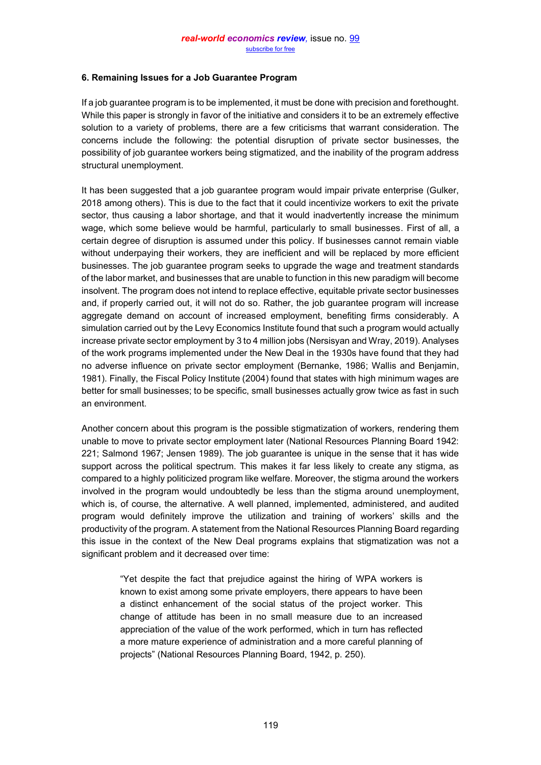## **6. Remaining Issues for a Job Guarantee Program**

If a job guarantee program is to be implemented, it must be done with precision and forethought. While this paper is strongly in favor of the initiative and considers it to be an extremely effective solution to a variety of problems, there are a few criticisms that warrant consideration. The concerns include the following: the potential disruption of private sector businesses, the possibility of job guarantee workers being stigmatized, and the inability of the program address structural unemployment.

It has been suggested that a job guarantee program would impair private enterprise (Gulker, 2018 among others). This is due to the fact that it could incentivize workers to exit the private sector, thus causing a labor shortage, and that it would inadvertently increase the minimum wage, which some believe would be harmful, particularly to small businesses. First of all, a certain degree of disruption is assumed under this policy. If businesses cannot remain viable without underpaying their workers, they are inefficient and will be replaced by more efficient businesses. The job guarantee program seeks to upgrade the wage and treatment standards of the labor market, and businesses that are unable to function in this new paradigm will become insolvent. The program does not intend to replace effective, equitable private sector businesses and, if properly carried out, it will not do so. Rather, the job guarantee program will increase aggregate demand on account of increased employment, benefiting firms considerably. A simulation carried out by the Levy Economics Institute found that such a program would actually increase private sector employment by 3 to 4 million jobs (Nersisyan and Wray, 2019). Analyses of the work programs implemented under the New Deal in the 1930s have found that they had no adverse influence on private sector employment (Bernanke, 1986; Wallis and Benjamin, 1981). Finally, the Fiscal Policy Institute (2004) found that states with high minimum wages are better for small businesses; to be specific, small businesses actually grow twice as fast in such an environment.

Another concern about this program is the possible stigmatization of workers, rendering them unable to move to private sector employment later (National Resources Planning Board 1942: 221; Salmond 1967; Jensen 1989). The job guarantee is unique in the sense that it has wide support across the political spectrum. This makes it far less likely to create any stigma, as compared to a highly politicized program like welfare. Moreover, the stigma around the workers involved in the program would undoubtedly be less than the stigma around unemployment, which is, of course, the alternative. A well planned, implemented, administered, and audited program would definitely improve the utilization and training of workers' skills and the productivity of the program. A statement from the National Resources Planning Board regarding this issue in the context of the New Deal programs explains that stigmatization was not a significant problem and it decreased over time:

"Yet despite the fact that prejudice against the hiring of WPA workers is known to exist among some private employers, there appears to have been a distinct enhancement of the social status of the project worker. This change of attitude has been in no small measure due to an increased appreciation of the value of the work performed, which in turn has reflected a more mature experience of administration and a more careful planning of projects" (National Resources Planning Board, 1942, p. 250).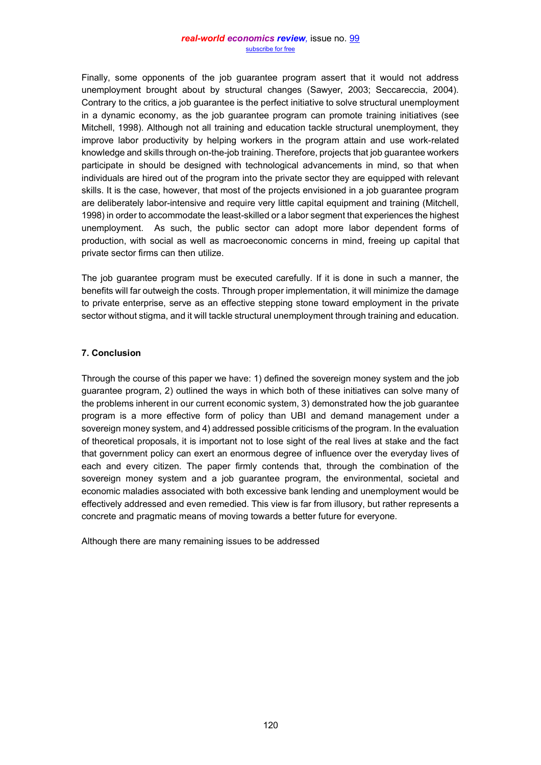Finally, some opponents of the job guarantee program assert that it would not address unemployment brought about by structural changes (Sawyer, 2003; Seccareccia, 2004). Contrary to the critics, a job guarantee is the perfect initiative to solve structural unemployment in a dynamic economy, as the job guarantee program can promote training initiatives (see Mitchell, 1998). Although not all training and education tackle structural unemployment, they improve labor productivity by helping workers in the program attain and use work-related knowledge and skills through on-the-job training. Therefore, projects that job guarantee workers participate in should be designed with technological advancements in mind, so that when individuals are hired out of the program into the private sector they are equipped with relevant skills. It is the case, however, that most of the projects envisioned in a job guarantee program are deliberately labor-intensive and require very little capital equipment and training (Mitchell, 1998) in order to accommodate the least-skilled or a labor segment that experiences the highest unemployment. As such, the public sector can adopt more labor dependent forms of production, with social as well as macroeconomic concerns in mind, freeing up capital that private sector firms can then utilize.

The job guarantee program must be executed carefully. If it is done in such a manner, the benefits will far outweigh the costs. Through proper implementation, it will minimize the damage to private enterprise, serve as an effective stepping stone toward employment in the private sector without stigma, and it will tackle structural unemployment through training and education.

# **7. Conclusion**

Through the course of this paper we have: 1) defined the sovereign money system and the job guarantee program, 2) outlined the ways in which both of these initiatives can solve many of the problems inherent in our current economic system, 3) demonstrated how the job guarantee program is a more effective form of policy than UBI and demand management under a sovereign money system, and 4) addressed possible criticisms of the program. In the evaluation of theoretical proposals, it is important not to lose sight of the real lives at stake and the fact that government policy can exert an enormous degree of influence over the everyday lives of each and every citizen. The paper firmly contends that, through the combination of the sovereign money system and a job guarantee program, the environmental, societal and economic maladies associated with both excessive bank lending and unemployment would be effectively addressed and even remedied. This view is far from illusory, but rather represents a concrete and pragmatic means of moving towards a better future for everyone.

Although there are many remaining issues to be addressed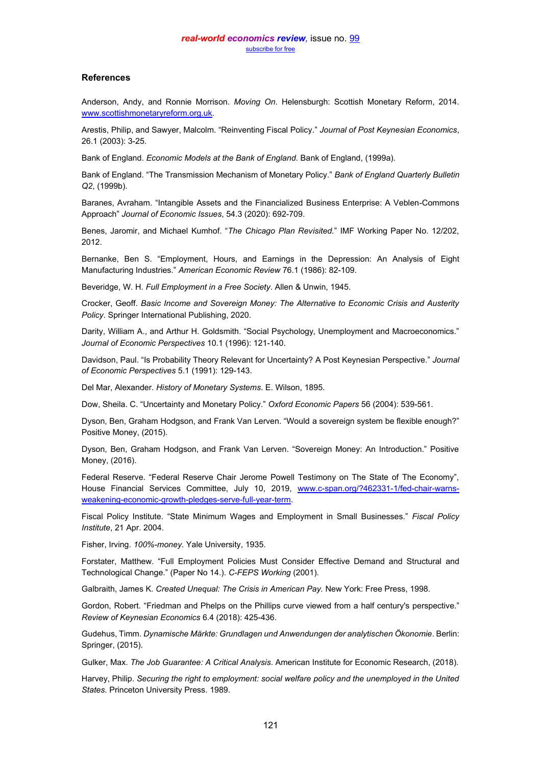#### *real-world economics review,* issue no. [99](http://www.paecon.net/PAEReview/issue99/whole99.pdf) [subscribe for free](http://www.feedblitz.com/f/f.fbz?Sub=332386)

#### **References**

Anderson, Andy, and Ronnie Morrison. *Moving On*. Helensburgh: Scottish Monetary Reform, 2014. [www.scottishmonetaryreform.org.uk.](http://www.scottishmonetaryreform.org.uk/)

Arestis, Philip, and Sawyer, Malcolm. "Reinventing Fiscal Policy." Journal of Post Keynesian Economics, 26.1 (2003): 3-25.

Bank of England. *Economic Models at the Bank of England*. Bank of England, (1999a).

Bank of England. "The Transmission Mechanism of Monetary Policy." Bank of England Quarterly Bulletin *Q2*, (1999b).

Baranes, Avraham. "Intangible Assets and the Financialized Business Enterprise: A Veblen-Commons Approach" Journal of Economic Issues, 54.3 (2020): 692-709.

Benes, Jaromir, and Michael Kumhof. "The Chicago Plan Revisited." IMF Working Paper No. 12/202, 2012.

Bernanke, Ben S. "Employment, Hours, and Earnings in the Depression: An Analysis of Eight Manufacturing Industries." American Economic Review 76.1 (1986): 82-109.

Beveridge, W. H. *Full Employment in a Free Society*. Allen & Unwin, 1945.

Crocker, Geoff. *Basic Income and Sovereign Money: The Alternative to Economic Crisis and Austerity Policy*. Springer International Publishing, 2020.

Darity, William A., and Arthur H. Goldsmith. "Social Psychology, Unemployment and Macroeconomics." *Journal of Economic Perspectives* 10.1 (1996): 121-140.

Davidson, Paul, "Is Probability Theory Relevant for Uncertainty? A Post Keynesian Perspective." *Journal of Economic Perspectives* 5.1 (1991): 129-143.

Del Mar, Alexander. *History of Monetary Systems*. E. Wilson, 1895.

Dow, Sheila. C. "Uncertainty and Monetary Policy." Oxford Economic Papers 56 (2004): 539-561.

Dyson, Ben, Graham Hodgson, and Frank Van Lerven. "Would a sovereign system be flexible enough?" Positive Money, (2015).

Dyson, Ben, Graham Hodgson, and Frank Van Lerven. "Sovereign Money: An Introduction." Positive Money, (2016).

Federal Reserve. "Federal Reserve Chair Jerome Powell Testimony on The State of The Economy", House Financial Services Committee, July 10, 2019, [www.c-span.org/?462331-1/fed-chair-warns](http://www.c-span.org/?462331-1/fed-chair-warns-weakening-economic-growth-pledges-serve-full-year-term)[weakening-economic-growth-pledges-serve-full-year-term.](http://www.c-span.org/?462331-1/fed-chair-warns-weakening-economic-growth-pledges-serve-full-year-term)

Fiscal Policy Institute. "State Minimum Wages and Employment in Small Businesses." Fiscal Policy *Institute*, 21 Apr. 2004.

Fisher, Irving. *100%-money*. Yale University, 1935.

Forstater, Matthew. "Full Employment Policies Must Consider Effective Demand and Structural and Technological Change." (Paper No 14.). C-FEPS Working (2001).

Galbraith, James K. *Created Unequal: The Crisis in American Pay.* New York: Free Press, 1998.

Gordon, Robert. "Friedman and Phelps on the Phillips curve viewed from a half century's perspective." *Review of Keynesian Economics* 6.4 (2018): 425-436.

Gudehus, Timm. *Dynamische Märkte: Grundlagen und Anwendungen der analytischen Ökonomie*. Berlin: Springer, (2015).

Gulker, Max. *The Job Guarantee: A Critical Analysis*. American Institute for Economic Research, (2018).

Harvey, Philip. *Securing the right to employment: social welfare policy and the unemployed in the United States*. Princeton University Press. 1989.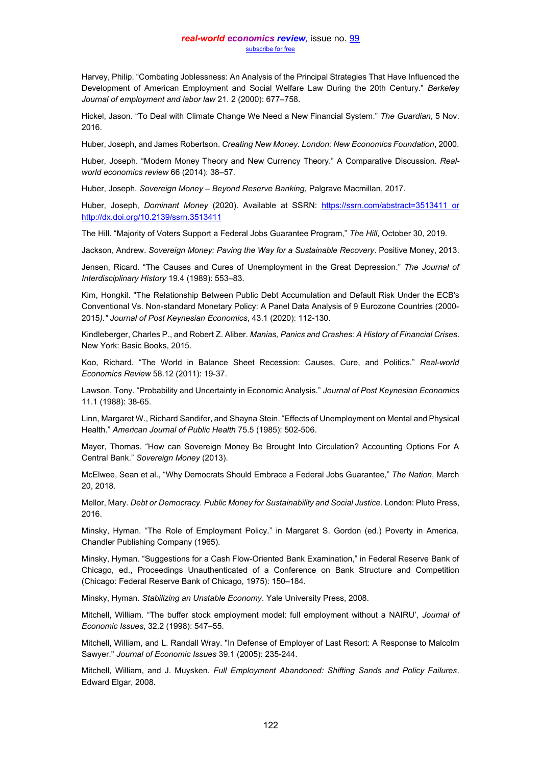Harvey, Philip. "Combating Joblessness: An Analysis of the Principal Strategies That Have Influenced the Development of American Employment and Social Welfare Law During the 20th Century." Berkeley *Journal of employment and labor law 21. 2 (2000): 677-758.* 

Hickel, Jason. "To Deal with Climate Change We Need a New Financial System." The Guardian, 5 Nov. 2016.

Huber, Joseph, and James Robertson. *Creating New Money. London: New Economics Foundation*, 2000.

Huber, Joseph, "Modern Money Theory and New Currency Theory," A Comparative Discussion, Real*world economics review* 66 (2014): 38-57.

Huber, Joseph. *Sovereign Money ± Beyond Reserve Banking*, Palgrave Macmillan, 2017.

Huber, Joseph, *Dominant Money* (2020). Available at SSRN: [https://ssrn.com/abstract=3513411 or](https://ssrn.com/abstract=3513411%20or%20http:/dx.doi.org/10.2139/ssrn.3513411)  [http://dx.doi.org/10.2139/ssrn.3513411](https://ssrn.com/abstract=3513411%20or%20http:/dx.doi.org/10.2139/ssrn.3513411)

The Hill. "Majority of Voters Support a Federal Jobs Guarantee Program," The Hill, October 30, 2019.

Jackson, Andrew. *Sovereign Money: Paving the Way for a Sustainable Recovery*. Positive Money, 2013.

Jensen, Ricard. "The Causes and Cures of Unemployment in the Great Depression." The Journal of *Interdisciplinary History* 19.4 (1989): 553-83.

Kim, Hongkil. "The Relationship Between Public Debt Accumulation and Default Risk Under the ECB's Conventional Vs. Non-standard Monetary Policy: A Panel Data Analysis of 9 Eurozone Countries (2000- 2015*)." Journal of Post Keynesian Economics*, 43.1 (2020): 112-130.

Kindleberger, Charles P., and Robert Z. Aliber. *Manias, Panics and Crashes: A History of Financial Crises*. New York: Basic Books, 2015.

Koo, Richard. "The World in Balance Sheet Recession: Causes, Cure, and Politics." Real-world *Economics Review* 58.12 (2011): 19-37.

Lawson, Tony. "Probability and Uncertainty in Economic Analysis." Journal of Post Keynesian Economics 11.1 (1988): 38-65.

Linn, Margaret W., Richard Sandifer, and Shayna Stein. "Effects of Unemployment on Mental and Physical Health." American Journal of Public Health 75.5 (1985): 502-506.

Mayer, Thomas. "How can Sovereign Money Be Brought Into Circulation? Accounting Options For A Central Bank.<sup>"</sup> Sovereign Money (2013).

McElwee, Sean et al., "Why Democrats Should Embrace a Federal Jobs Guarantee," The Nation, March 20, 2018.

Mellor, Mary. *Debt or Democracy. Public Money for Sustainability and Social Justice*. London: Pluto Press, 2016.

Minsky, Hyman. "The Role of Employment Policy." in Margaret S. Gordon (ed.) Poverty in America. Chandler Publishing Company (1965).

Minsky, Hyman, "Suggestions for a Cash Flow-Oriented Bank Examination," in Federal Reserve Bank of Chicago, ed., Proceedings Unauthenticated of a Conference on Bank Structure and Competition (Chicago: Federal Reserve Bank of Chicago, 1975): 150-184.

Minsky, Hyman. *Stabilizing an Unstable Economy*. Yale University Press, 2008.

Mitchell, William. "The buffer stock employment model: full employment without a NAIRU', *Journal of Economic Issues*, 32.2 (1998): 547-55.

Mitchell, William, and L. Randall Wray. "In Defense of Employer of Last Resort: A Response to Malcolm Sawyer." *Journal of Economic Issues* 39.1 (2005): 235-244.

Mitchell, William, and J. Muysken. *Full Employment Abandoned: Shifting Sands and Policy Failures*. Edward Elgar, 2008.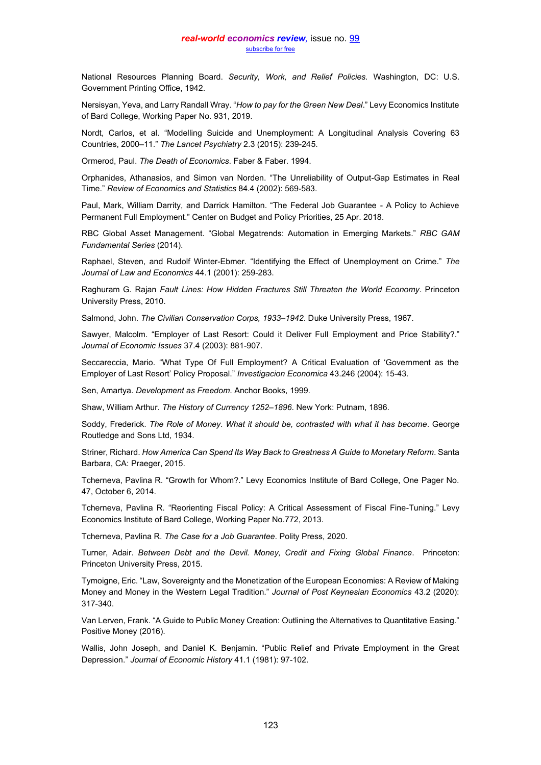National Resources Planning Board. *Security, Work, and Relief Policies.* Washington, DC: U.S. Government Printing Office, 1942.

Nersisyan, Yeva, and Larry Randall Wray. "How to pay for the Green New Deal." Levy Economics Institute of Bard College, Working Paper No. 931, 2019.

Nordt, Carlos, et al. "Modelling Suicide and Unemployment: A Longitudinal Analysis Covering 63 Countries, 2000-11." The Lancet Psychiatry 2.3 (2015): 239-245.

Ormerod, Paul. *The Death of Economics*. Faber & Faber. 1994.

Orphanides, Athanasios, and Simon van Norden. "The Unreliability of Output-Gap Estimates in Real Time." Review of Economics and Statistics 84.4 (2002): 569-583.

Paul, Mark, William Darrity, and Darrick Hamilton. "The Federal Job Guarantee - A Policy to Achieve Permanent Full Employment." Center on Budget and Policy Priorities, 25 Apr. 2018.

RBC Global Asset Management. "Global Megatrends: Automation in Emerging Markets." RBC GAM *Fundamental Series* (2014).

Raphael, Steven, and Rudolf Winter-Ebmer. "Identifying the Effect of Unemployment on Crime." The *Journal of Law and Economics* 44.1 (2001): 259-283.

Raghuram G. Rajan *Fault Lines: How Hidden Fractures Still Threaten the World Economy*. Princeton University Press, 2010.

Salmond, John. *The Civilian Conservation Corps, 1933±1942*. Duke University Press, 1967.

Sawyer, Malcolm, "Employer of Last Resort: Could it Deliyer Full Employment and Price Stability?." *Journal of Economic Issues* 37.4 (2003): 881-907.

Seccareccia, Mario. "What Type Of Full Employment? A Critical Evaluation of 'Government as the Employer of Last Resort' Policy Proposal." *Investigacion Economica* 43.246 (2004): 15-43.

Sen, Amartya. *Development as Freedom*. Anchor Books, 1999.

Shaw, William Arthur. *The History of Currency 1252±1896*. New York: Putnam, 1896.

Soddy, Frederick. *The Role of Money*. *What it should be, contrasted with what it has become*. George Routledge and Sons Ltd, 1934.

Striner, Richard. *How America Can Spend Its Way Back to Greatness A Guide to Monetary Reform*. Santa Barbara, CA: Praeger, 2015.

Tcherneva, Pavlina R. "Growth for Whom?." Levy Economics Institute of Bard College, One Pager No. 47, October 6, 2014.

Tcherneva, Pavlina R. "Reorienting Fiscal Policy: A Critical Assessment of Fiscal Fine-Tuning." Levy Economics Institute of Bard College, Working Paper No.772, 2013.

Tcherneva, Pavlina R. *The Case for a Job Guarantee*. Polity Press, 2020.

Turner, Adair. *Between Debt and the Devil. Money, Credit and Fixing Global Finance*. Princeton: Princeton University Press, 2015.

Tymoigne, Eric. "Law, Sovereignty and the Monetization of the European Economies: A Review of Making Money and Money in the Western Legal Tradition." Journal of Post Keynesian Economics 43.2 (2020): 317-340.

Van Lerven, Frank. "A Guide to Public Money Creation: Outlining the Alternatives to Quantitative Easing." Positive Money (2016).

Wallis, John Joseph, and Daniel K. Benjamin. "Public Relief and Private Employment in the Great Depression." Journal of Economic History 41.1 (1981): 97-102.